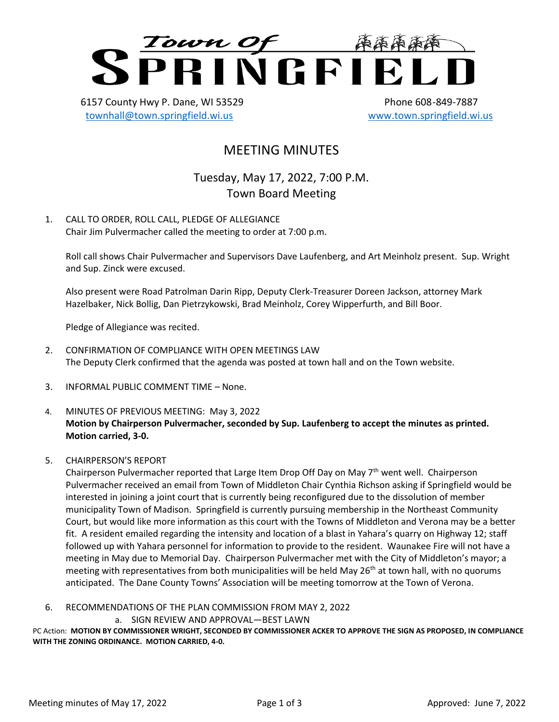

6157 County Hwy P. Dane, WI 53529 Phone 608-849-7887 [townhall@town.springfield.wi.us](mailto:townhall@town.springfield.wi.us) [www.town.springfield.wi.us](http://www.town.springfield.wi.us/)

# MEETING MINUTES

Tuesday, May 17, 2022, 7:00 P.M. Town Board Meeting

1. CALL TO ORDER, ROLL CALL, PLEDGE OF ALLEGIANCE Chair Jim Pulvermacher called the meeting to order at 7:00 p.m.

Roll call shows Chair Pulvermacher and Supervisors Dave Laufenberg, and Art Meinholz present. Sup. Wright and Sup. Zinck were excused.

Also present were Road Patrolman Darin Ripp, Deputy Clerk-Treasurer Doreen Jackson, attorney Mark Hazelbaker, Nick Bollig, Dan Pietrzykowski, Brad Meinholz, Corey Wipperfurth, and Bill Boor.

Pledge of Allegiance was recited.

- 2. CONFIRMATION OF COMPLIANCE WITH OPEN MEETINGS LAW The Deputy Clerk confirmed that the agenda was posted at town hall and on the Town website.
- 3. INFORMAL PUBLIC COMMENT TIME None.
- 4. MINUTES OF PREVIOUS MEETING: May 3, 2022 **Motion by Chairperson Pulvermacher, seconded by Sup. Laufenberg to accept the minutes as printed. Motion carried, 3-0.**
- 5. CHAIRPERSON'S REPORT

Chairperson Pulvermacher reported that Large Item Drop Off Day on May  $7<sup>th</sup>$  went well. Chairperson Pulvermacher received an email from Town of Middleton Chair Cynthia Richson asking if Springfield would be interested in joining a joint court that is currently being reconfigured due to the dissolution of member municipality Town of Madison. Springfield is currently pursuing membership in the Northeast Community Court, but would like more information as this court with the Towns of Middleton and Verona may be a better fit. A resident emailed regarding the intensity and location of a blast in Yahara's quarry on Highway 12; staff followed up with Yahara personnel for information to provide to the resident. Waunakee Fire will not have a meeting in May due to Memorial Day. Chairperson Pulvermacher met with the City of Middleton's mayor; a meeting with representatives from both municipalities will be held May 26<sup>th</sup> at town hall, with no quorums anticipated. The Dane County Towns' Association will be meeting tomorrow at the Town of Verona.

- 6. RECOMMENDATIONS OF THE PLAN COMMISSION FROM MAY 2, 2022
	- a. SIGN REVIEW AND APPROVAL—BEST LAWN

PC Action: **MOTION BY COMMISSIONER WRIGHT, SECONDED BY COMMISSIONER ACKER TO APPROVE THE SIGN AS PROPOSED, IN COMPLIANCE WITH THE ZONING ORDINANCE. MOTION CARRIED, 4-0.**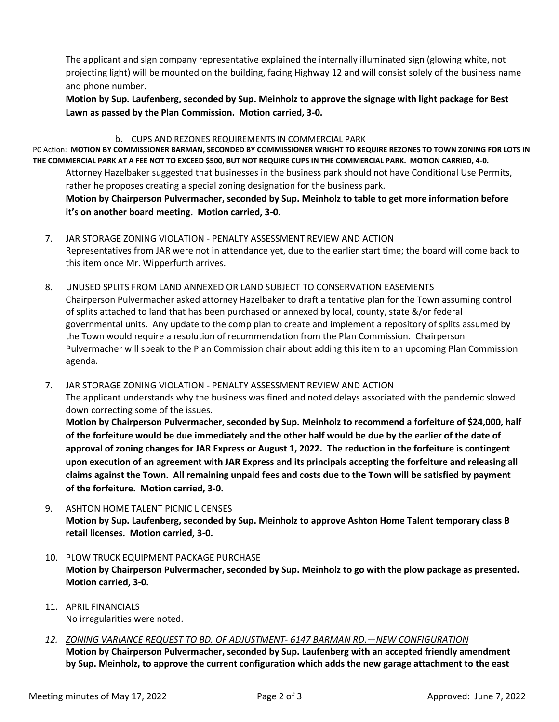The applicant and sign company representative explained the internally illuminated sign (glowing white, not projecting light) will be mounted on the building, facing Highway 12 and will consist solely of the business name and phone number.

**Motion by Sup. Laufenberg, seconded by Sup. Meinholz to approve the signage with light package for Best Lawn as passed by the Plan Commission. Motion carried, 3-0.**

#### b. CUPS AND REZONES REQUIREMENTS IN COMMERCIAL PARK

PC Action: **MOTION BY COMMISSIONER BARMAN, SECONDED BY COMMISSIONER WRIGHT TO REQUIRE REZONES TO TOWN ZONING FOR LOTS IN THE COMMERCIAL PARK AT A FEE NOT TO EXCEED \$500, BUT NOT REQUIRE CUPS IN THE COMMERCIAL PARK. MOTION CARRIED, 4-0.**

Attorney Hazelbaker suggested that businesses in the business park should not have Conditional Use Permits, rather he proposes creating a special zoning designation for the business park.

**Motion by Chairperson Pulvermacher, seconded by Sup. Meinholz to table to get more information before it's on another board meeting. Motion carried, 3-0.**

- 7. JAR STORAGE ZONING VIOLATION PENALTY ASSESSMENT REVIEW AND ACTION Representatives from JAR were not in attendance yet, due to the earlier start time; the board will come back to this item once Mr. Wipperfurth arrives.
- 8. UNUSED SPLITS FROM LAND ANNEXED OR LAND SUBJECT TO CONSERVATION EASEMENTS Chairperson Pulvermacher asked attorney Hazelbaker to draft a tentative plan for the Town assuming control of splits attached to land that has been purchased or annexed by local, county, state &/or federal governmental units. Any update to the comp plan to create and implement a repository of splits assumed by the Town would require a resolution of recommendation from the Plan Commission. Chairperson Pulvermacher will speak to the Plan Commission chair about adding this item to an upcoming Plan Commission agenda.

7. JAR STORAGE ZONING VIOLATION - PENALTY ASSESSMENT REVIEW AND ACTION The applicant understands why the business was fined and noted delays associated with the pandemic slowed down correcting some of the issues. **Motion by Chairperson Pulvermacher, seconded by Sup. Meinholz to recommend a forfeiture of \$24,000, half of the forfeiture would be due immediately and the other half would be due by the earlier of the date of** 

**approval of zoning changes for JAR Express or August 1, 2022. The reduction in the forfeiture is contingent upon execution of an agreement with JAR Express and its principals accepting the forfeiture and releasing all claims against the Town. All remaining unpaid fees and costs due to the Town will be satisfied by payment of the forfeiture. Motion carried, 3-0.**

- 9. ASHTON HOME TALENT PICNIC LICENSES **Motion by Sup. Laufenberg, seconded by Sup. Meinholz to approve Ashton Home Talent temporary class B retail licenses. Motion carried, 3-0.**
- 10. PLOW TRUCK EQUIPMENT PACKAGE PURCHASE **Motion by Chairperson Pulvermacher, seconded by Sup. Meinholz to go with the plow package as presented. Motion carried, 3-0.**
- 11. APRIL FINANCIALS No irregularities were noted.
- *12. ZONING VARIANCE REQUEST TO BD. OF ADJUSTMENT- 6147 BARMAN RD.—NEW CONFIGURATION* **Motion by Chairperson Pulvermacher, seconded by Sup. Laufenberg with an accepted friendly amendment by Sup. Meinholz, to approve the current configuration which adds the new garage attachment to the east**